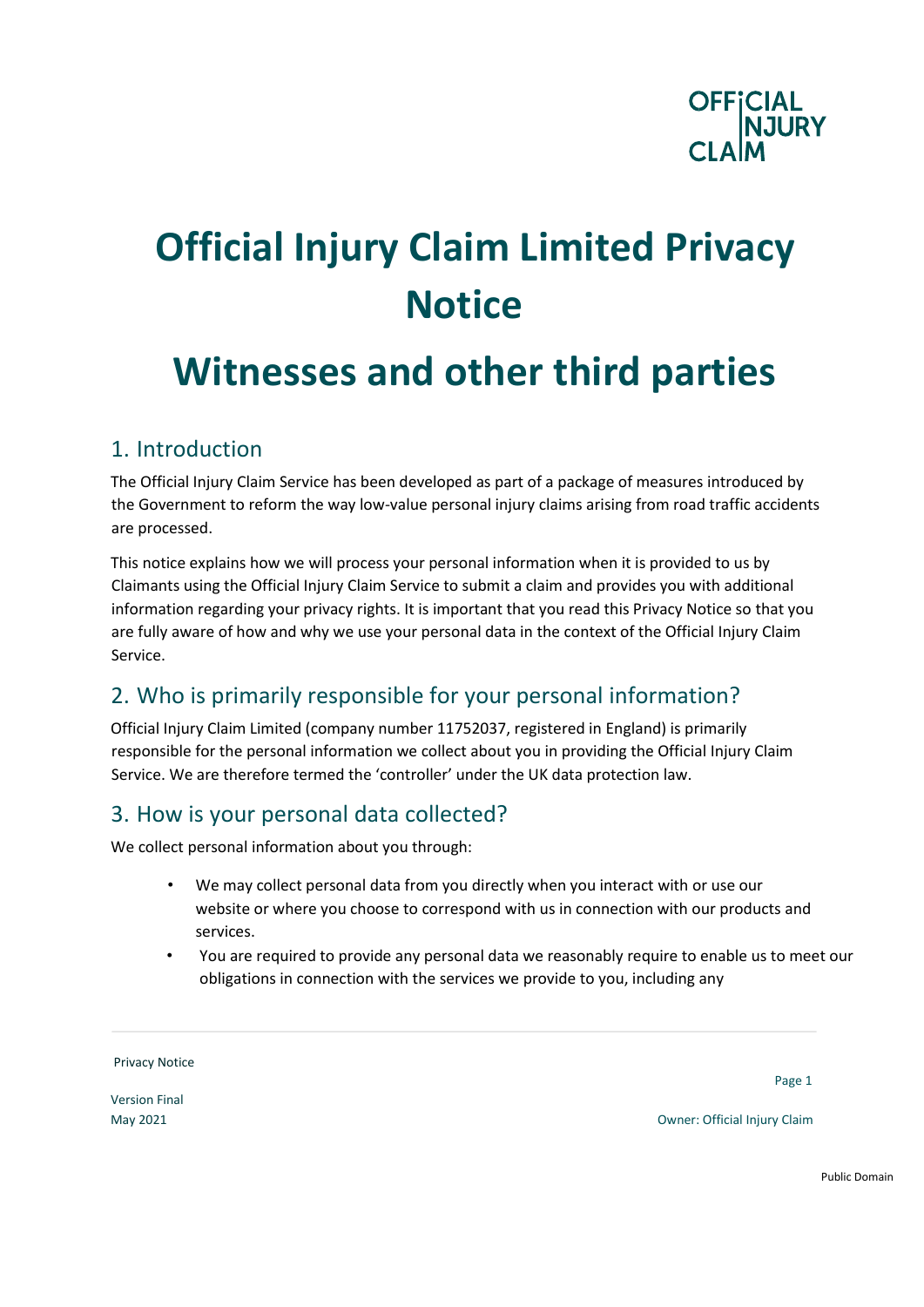

# **Official Injury Claim Limited Privacy Notice**

# **Witnesses and other third parties**

#### 1. Introduction

The Official Injury Claim Service has been developed as part of a package of measures introduced by the Government to reform the way low-value personal injury claims arising from road traffic accidents are processed.

This notice explains how we will process your personal information when it is provided to us by Claimants using the Official Injury Claim Service to submit a claim and provides you with additional information regarding your privacy rights. It is important that you read this Privacy Notice so that you are fully aware of how and why we use your personal data in the context of the Official Injury Claim Service.

#### 2. Who is primarily responsible for your personal information?

Official Injury Claim Limited (company number 11752037, registered in England) is primarily responsible for the personal information we collect about you in providing the Official Injury Claim Service. We are therefore termed the 'controller' under the UK data protection law.

#### 3. How is your personal data collected?

We collect personal information about you through:

- We may collect personal data from you directly when you interact with or use our website or where you choose to correspond with us in connection with our products and services.
- You are required to provide any personal data we reasonably require to enable us to meet our obligations in connection with the services we provide to you, including any

Privacy Notice

Version Final

Page 1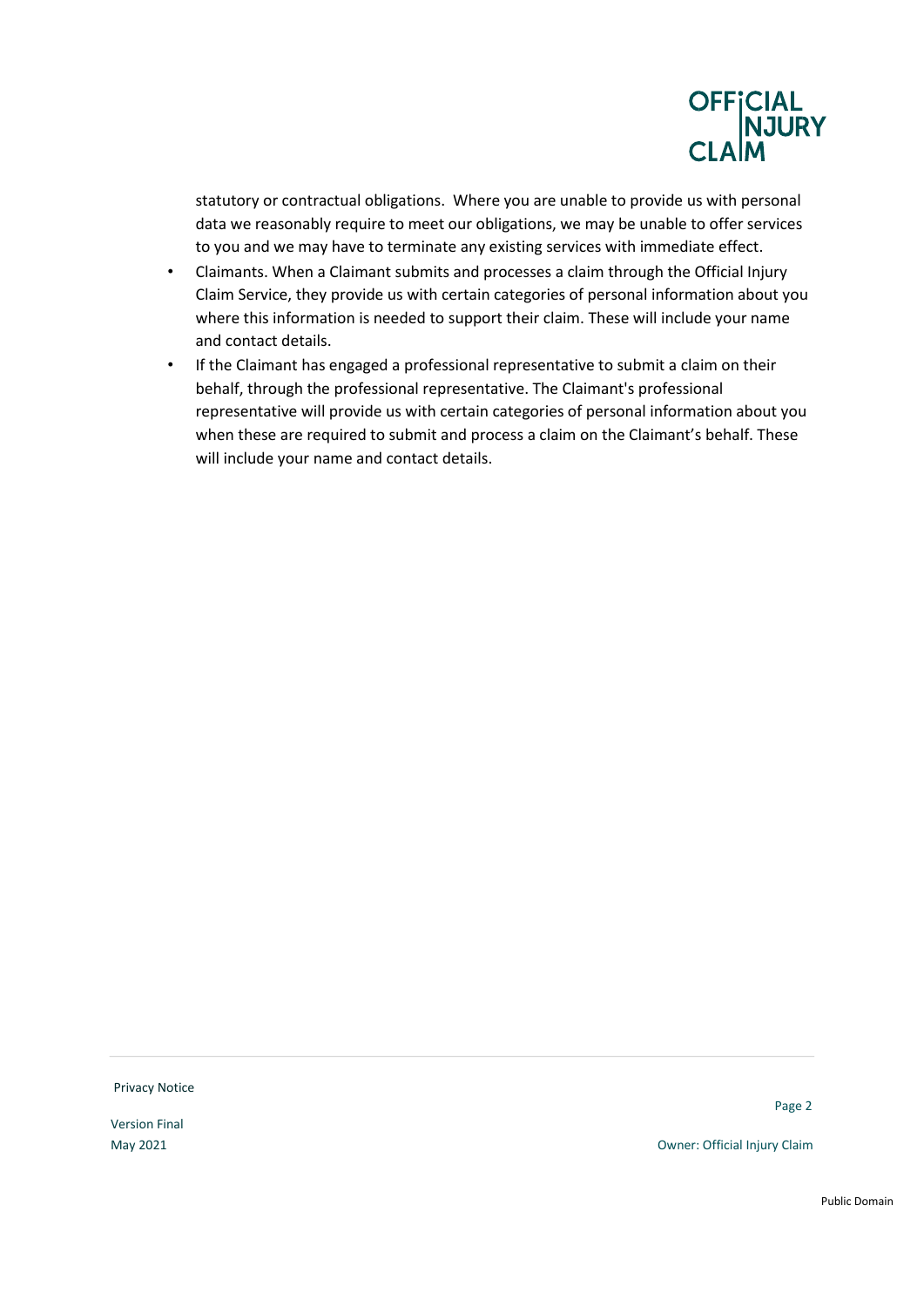

statutory or contractual obligations. Where you are unable to provide us with personal data we reasonably require to meet our obligations, we may be unable to offer services to you and we may have to terminate any existing services with immediate effect.

- Claimants. When a Claimant submits and processes a claim through the Official Injury Claim Service, they provide us with certain categories of personal information about you where this information is needed to support their claim. These will include your name and contact details.
- If the Claimant has engaged a professional representative to submit a claim on their behalf, through the professional representative. The Claimant's professional representative will provide us with certain categories of personal information about you when these are required to submit and process a claim on the Claimant's behalf. These will include your name and contact details.

Privacy Notice

Version Final

Page 2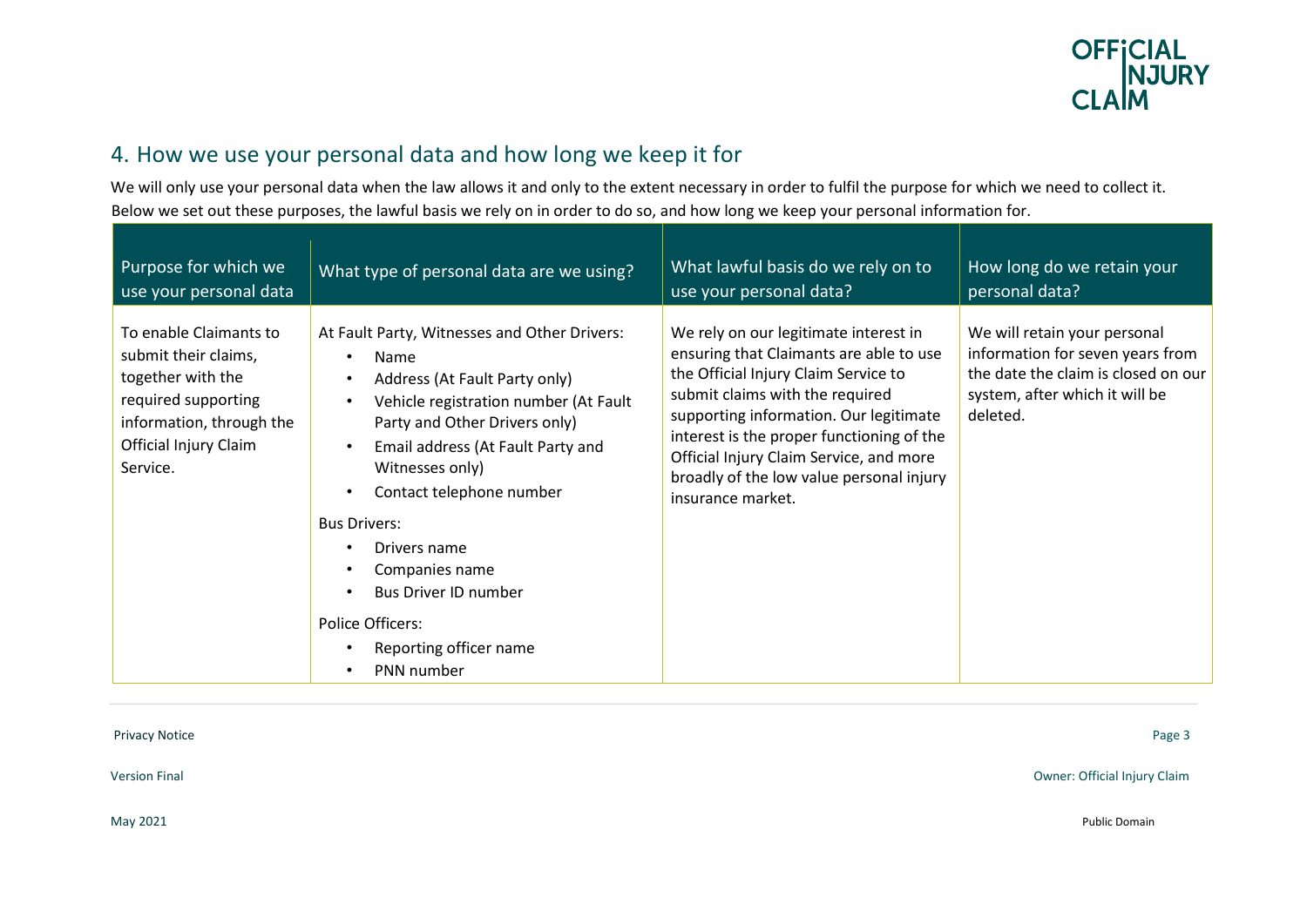

# 4. How we use your personal data and how long we keep it for

We will only use your personal data when the law allows it and only to the extent necessary in order to fulfil the purpose for which we need to collect it. Below we set out these purposes, the lawful basis we rely on in order to do so, and how long we keep your personal information for.

| Purpose for which we                                                                                                                                        | What type of personal data are we using?                                                                                                                                                                                                                                                                                                                                                                             | What lawful basis do we rely on to                                                                                                                                                                                                                                                                                                                             | How long do we retain your                                                                                                                            |
|-------------------------------------------------------------------------------------------------------------------------------------------------------------|----------------------------------------------------------------------------------------------------------------------------------------------------------------------------------------------------------------------------------------------------------------------------------------------------------------------------------------------------------------------------------------------------------------------|----------------------------------------------------------------------------------------------------------------------------------------------------------------------------------------------------------------------------------------------------------------------------------------------------------------------------------------------------------------|-------------------------------------------------------------------------------------------------------------------------------------------------------|
| use your personal data                                                                                                                                      |                                                                                                                                                                                                                                                                                                                                                                                                                      | use your personal data?                                                                                                                                                                                                                                                                                                                                        | personal data?                                                                                                                                        |
| To enable Claimants to<br>submit their claims,<br>together with the<br>required supporting<br>information, through the<br>Official Injury Claim<br>Service. | At Fault Party, Witnesses and Other Drivers:<br>Name<br>Address (At Fault Party only)<br>Vehicle registration number (At Fault<br>$\bullet$<br>Party and Other Drivers only)<br>Email address (At Fault Party and<br>Witnesses only)<br>Contact telephone number<br><b>Bus Drivers:</b><br>Drivers name<br>Companies name<br>Bus Driver ID number<br><b>Police Officers:</b><br>Reporting officer name<br>PNN number | We rely on our legitimate interest in<br>ensuring that Claimants are able to use<br>the Official Injury Claim Service to<br>submit claims with the required<br>supporting information. Our legitimate<br>interest is the proper functioning of the<br>Official Injury Claim Service, and more<br>broadly of the low value personal injury<br>insurance market. | We will retain your personal<br>information for seven years from<br>the date the claim is closed on our<br>system, after which it will be<br>deleted. |

Privacy NoticePage 3

Version FinalOwner: Official Injury Claim

May 2021 Public Domain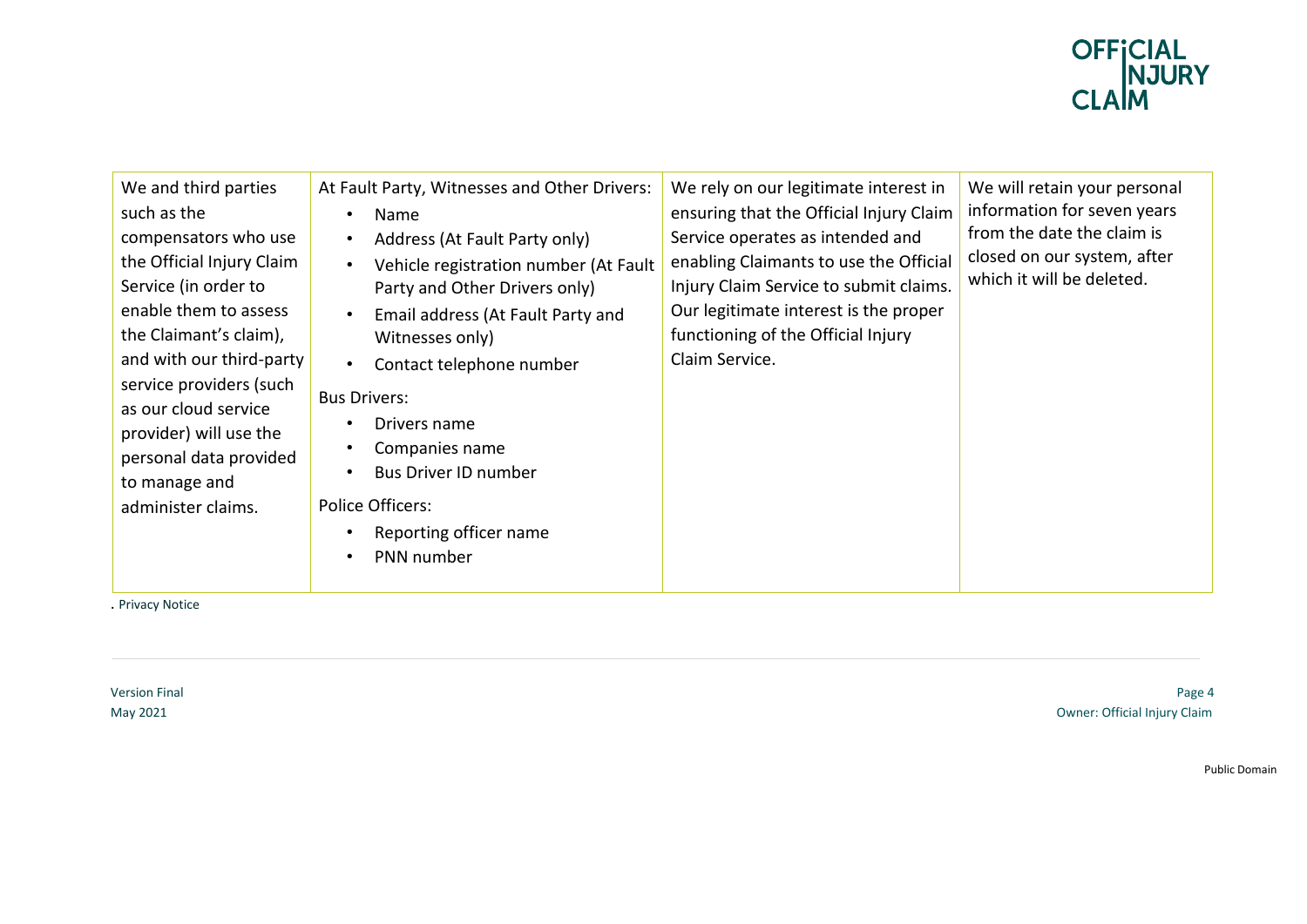

. Privacy Notice

Version Final Page 4 May 2021 Owner: Official Injury Claim

Public Domain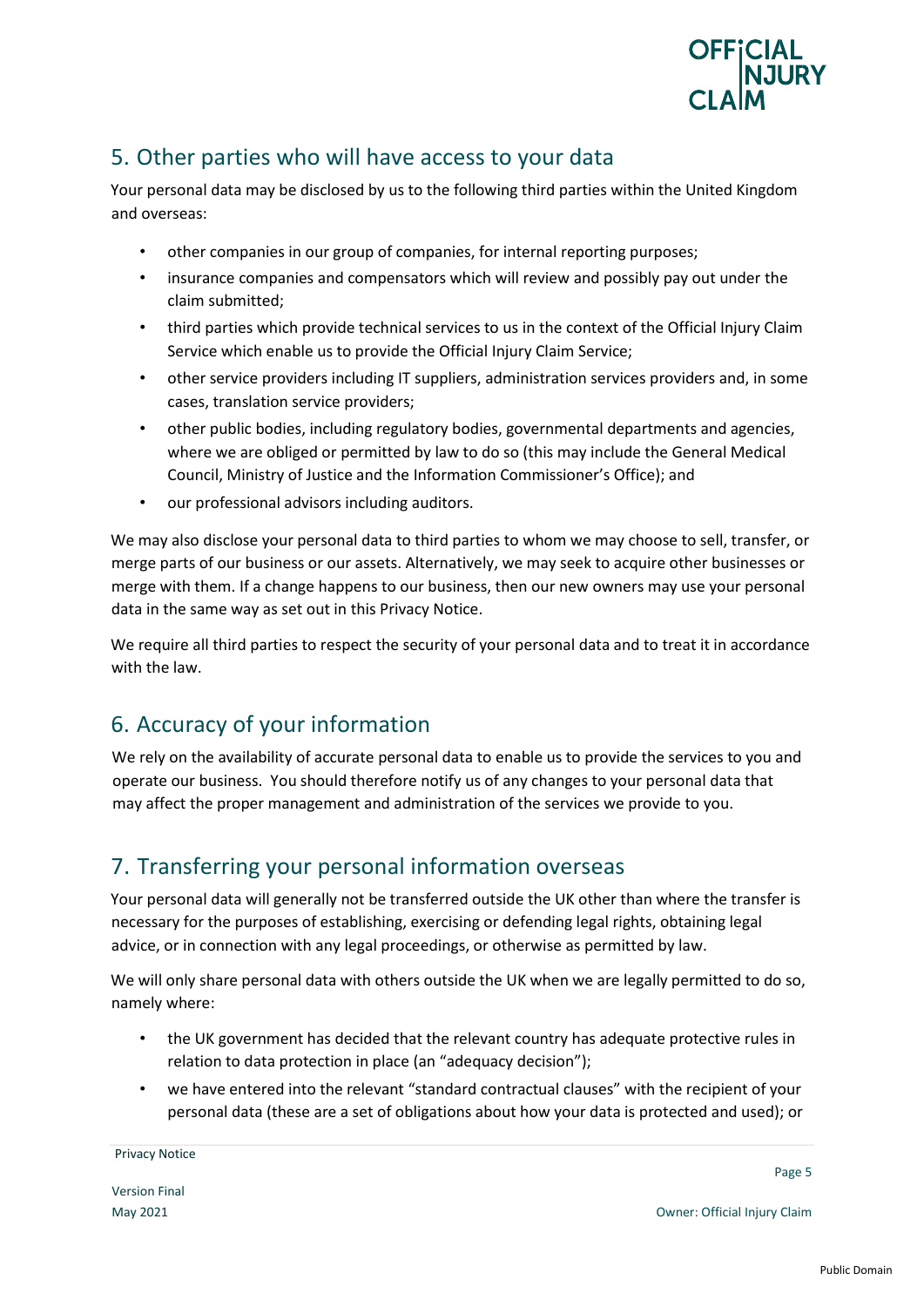

# 5. Other parties who will have access to your data

Your personal data may be disclosed by us to the following third parties within the United Kingdom and overseas:

- other companies in our group of companies, for internal reporting purposes;
- insurance companies and compensators which will review and possibly pay out under the claim submitted;
- third parties which provide technical services to us in the context of the Official Injury Claim Service which enable us to provide the Official Injury Claim Service;
- other service providers including IT suppliers, administration services providers and, in some cases, translation service providers;
- other public bodies, including regulatory bodies, governmental departments and agencies, where we are obliged or permitted by law to do so (this may include the General Medical Council, Ministry of Justice and the Information Commissioner's Office); and
- our professional advisors including auditors.

We may also disclose your personal data to third parties to whom we may choose to sell, transfer, or merge parts of our business or our assets. Alternatively, we may seek to acquire other businesses or merge with them. If a change happens to our business, then our new owners may use your personal data in the same way as set out in this Privacy Notice.

We require all third parties to respect the security of your personal data and to treat it in accordance with the law.

# 6. Accuracy of your information

We rely on the availability of accurate personal data to enable us to provide the services to you and operate our business. You should therefore notify us of any changes to your personal data that may affect the proper management and administration of the services we provide to you.

#### 7. Transferring your personal information overseas

Your personal data will generally not be transferred outside the UK other than where the transfer is necessary for the purposes of establishing, exercising or defending legal rights, obtaining legal advice, or in connection with any legal proceedings, or otherwise as permitted by law.

We will only share personal data with others outside the UK when we are legally permitted to do so, namely where:

- the UK government has decided that the relevant country has adequate protective rules in relation to data protection in place (an "adequacy decision");
- we have entered into the relevant "standard contractual clauses" with the recipient of your personal data (these are a set of obligations about how your data is protected and used); or

Page 5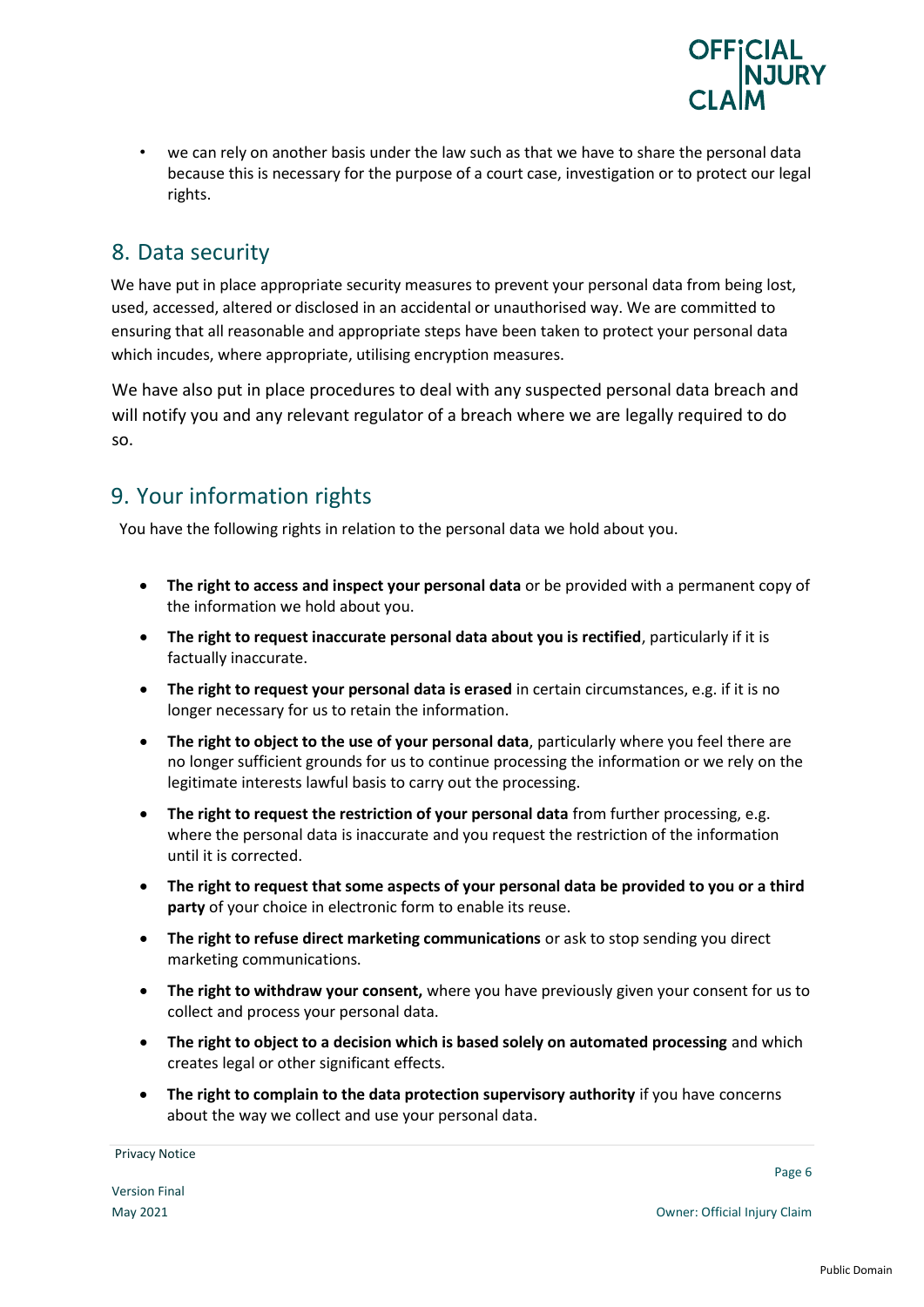

• we can rely on another basis under the law such as that we have to share the personal data because this is necessary for the purpose of a court case, investigation or to protect our legal rights.

#### 8. Data security

We have put in place appropriate security measures to prevent your personal data from being lost, used, accessed, altered or disclosed in an accidental or unauthorised way. We are committed to ensuring that all reasonable and appropriate steps have been taken to protect your personal data which incudes, where appropriate, utilising encryption measures.

We have also put in place procedures to deal with any suspected personal data breach and will notify you and any relevant regulator of a breach where we are legally required to do so.

### 9. Your information rights

You have the following rights in relation to the personal data we hold about you.

- **The right to access and inspect your personal data** or be provided with a permanent copy of the information we hold about you.
- **The right to request inaccurate personal data about you is rectified**, particularly if it is factually inaccurate.
- **The right to request your personal data is erased** in certain circumstances, e.g. if it is no longer necessary for us to retain the information.
- **The right to object to the use of your personal data**, particularly where you feel there are no longer sufficient grounds for us to continue processing the information or we rely on the legitimate interests lawful basis to carry out the processing.
- **The right to request the restriction of your personal data** from further processing, e.g. where the personal data is inaccurate and you request the restriction of the information until it is corrected.
- **The right to request that some aspects of your personal data be provided to you or a third party** of your choice in electronic form to enable its reuse.
- **The right to refuse direct marketing communications** or ask to stop sending you direct marketing communications.
- **The right to withdraw your consent,** where you have previously given your consent for us to collect and process your personal data.
- **The right to object to a decision which is based solely on automated processing** and which creates legal or other significant effects.
- **The right to complain to the data protection supervisory authority** if you have concerns about the way we collect and use your personal data.

Page 6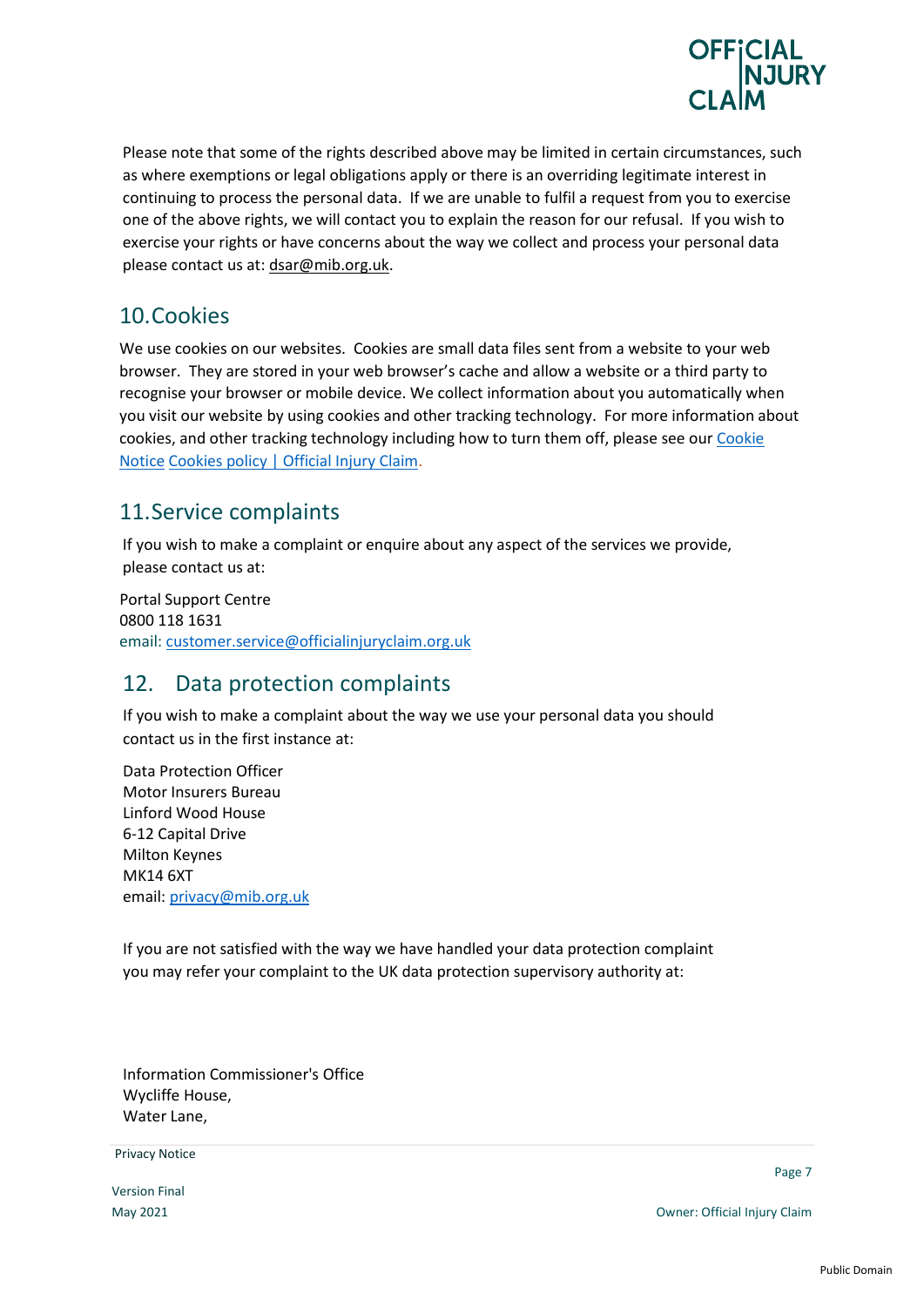

Please note that some of the rights described above may be limited in certain circumstances, such as where exemptions or legal obligations apply or there is an overriding legitimate interest in continuing to process the personal data. If we are unable to fulfil a request from you to exercise one of the above rights, we will contact you to explain the reason for our refusal. If you wish to exercise your rights or have concerns about the way we collect and process your personal data please contact us at: dsar@mib.org.uk.

#### 10.Cookies

We use cookies on our websites. Cookies are small data files sent from a website to your web browser. They are stored in your web browser's cache and allow a website or a third party to recognise your browser or mobile device. We collect information about you automatically when you visit our website by using cookies and other tracking technology. For more information about cookies, and other tracking technology including how to turn them off, please see our Cookie Notice [Cookies policy | Official Injury Claim.](https://www.officialinjuryclaim.org.uk/cookies-policy/)

#### 11.Service complaints

If you wish to make a complaint or enquire about any aspect of the services we provide, please contact us at:

 Portal Support Centre 0800 118 1631 email: [customer.service@officialinjuryclaim.org.uk](mailto:customer.service@officialinjuryclaim.org.uk)

#### 12. Data protection complaints

If you wish to make a complaint about the way we use your personal data you should contact us in the first instance at:

Data Protection Officer Motor Insurers Bureau Linford Wood House 6-12 Capital Drive Milton Keynes MK14 6XT email: [privacy@mib.org.uk](mailto:privacy@mib.org.uk)

If you are not satisfied with the way we have handled your data protection complaint you may refer your complaint to the UK data protection supervisory authority at:

Information Commissioner's Office Wycliffe House, Water Lane,

**Privacy Notice Example 2008 Contract Contract Contract Contract Contract Contract Contract Contract Contract Contract Contract Contract Contract Contract Contract Contract Contract Contract Contract Contract Contract** 

Version Final

Page 7